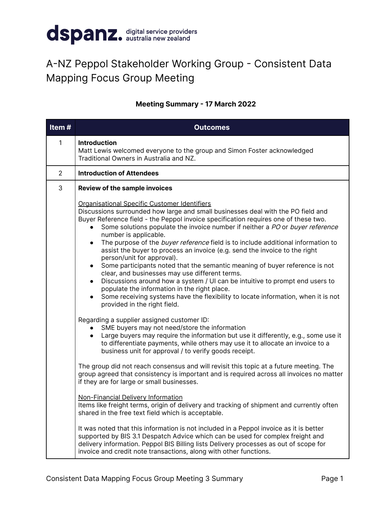

## A-NZ Peppol Stakeholder Working Group - Consistent Data Mapping Focus Group Meeting

## **Meeting Summary - 17 March 2022**

| Item#          | <b>Outcomes</b>                                                                                                                                                                                                                                                                                                                                                                                                                                                                                                                                                                                                                                                                                                                                                                                                                                                                                                                                                                          |
|----------------|------------------------------------------------------------------------------------------------------------------------------------------------------------------------------------------------------------------------------------------------------------------------------------------------------------------------------------------------------------------------------------------------------------------------------------------------------------------------------------------------------------------------------------------------------------------------------------------------------------------------------------------------------------------------------------------------------------------------------------------------------------------------------------------------------------------------------------------------------------------------------------------------------------------------------------------------------------------------------------------|
| $\mathbf{1}$   | <b>Introduction</b><br>Matt Lewis welcomed everyone to the group and Simon Foster acknowledged<br>Traditional Owners in Australia and NZ.                                                                                                                                                                                                                                                                                                                                                                                                                                                                                                                                                                                                                                                                                                                                                                                                                                                |
| $\overline{2}$ | <b>Introduction of Attendees</b>                                                                                                                                                                                                                                                                                                                                                                                                                                                                                                                                                                                                                                                                                                                                                                                                                                                                                                                                                         |
| 3              | <b>Review of the sample invoices</b>                                                                                                                                                                                                                                                                                                                                                                                                                                                                                                                                                                                                                                                                                                                                                                                                                                                                                                                                                     |
|                | Organisational Specific Customer Identifiers<br>Discussions surrounded how large and small businesses deal with the PO field and<br>Buyer Reference field - the Peppol invoice specification requires one of these two.<br>Some solutions populate the invoice number if neither a PO or buyer reference<br>$\bullet$<br>number is applicable.<br>The purpose of the buyer reference field is to include additional information to<br>$\bullet$<br>assist the buyer to process an invoice (e.g. send the invoice to the right<br>person/unit for approval).<br>Some participants noted that the semantic meaning of buyer reference is not<br>$\bullet$<br>clear, and businesses may use different terms.<br>Discussions around how a system / UI can be intuitive to prompt end users to<br>$\bullet$<br>populate the information in the right place.<br>Some receiving systems have the flexibility to locate information, when it is not<br>$\bullet$<br>provided in the right field. |
|                | Regarding a supplier assigned customer ID:<br>SME buyers may not need/store the information<br>Large buyers may require the information but use it differently, e.g., some use it<br>to differentiate payments, while others may use it to allocate an invoice to a<br>business unit for approval / to verify goods receipt.                                                                                                                                                                                                                                                                                                                                                                                                                                                                                                                                                                                                                                                             |
|                | The group did not reach consensus and will revisit this topic at a future meeting. The<br>group agreed that consistency is important and is required across all invoices no matter<br>if they are for large or small businesses.                                                                                                                                                                                                                                                                                                                                                                                                                                                                                                                                                                                                                                                                                                                                                         |
|                | Non-Financial Delivery Information<br>Items like freight terms, origin of delivery and tracking of shipment and currently often<br>shared in the free text field which is acceptable.                                                                                                                                                                                                                                                                                                                                                                                                                                                                                                                                                                                                                                                                                                                                                                                                    |
|                | It was noted that this information is not included in a Peppol invoice as it is better<br>supported by BIS 3.1 Despatch Advice which can be used for complex freight and<br>delivery information. Peppol BIS Billing lists Delivery processes as out of scope for<br>invoice and credit note transactions, along with other functions.                                                                                                                                                                                                                                                                                                                                                                                                                                                                                                                                                                                                                                                   |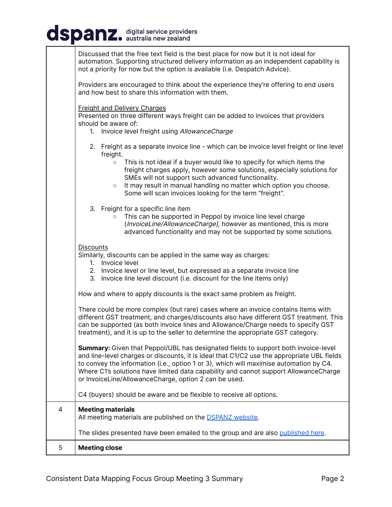## dspanz. digital service providers

|   | Discussed that the free text field is the best place for now but it is not ideal for<br>automation. Supporting structured delivery information as an independent capability is<br>not a priority for now but the option is available (i.e. Despatch Advice).                                                                                                                                                                                                            |
|---|-------------------------------------------------------------------------------------------------------------------------------------------------------------------------------------------------------------------------------------------------------------------------------------------------------------------------------------------------------------------------------------------------------------------------------------------------------------------------|
|   | Providers are encouraged to think about the experience they're offering to end users<br>and how best to share this information with them.                                                                                                                                                                                                                                                                                                                               |
|   | <b>Freight and Delivery Charges</b><br>Presented on three different ways freight can be added to invoices that providers<br>should be aware of:<br>Invoice level freight using AllowanceCharge<br>1.                                                                                                                                                                                                                                                                    |
|   | 2. Freight as a separate invoice line - which can be invoice level freight or line level<br>freight.<br>This is not ideal if a buyer would like to specify for which items the<br>$\circ$<br>freight charges apply, however some solutions, especially solutions for<br>SMEs will not support such advanced functionality.<br>It may result in manual handling no matter which option you choose.<br>$\circ$<br>Some will scan invoices looking for the term "freight". |
|   | 3. Freight for a specific line item<br>This can be supported in Peppol by invoice line level charge<br>(InvoiceLine/AllowanceCharge), however as mentioned, this is more<br>advanced functionality and may not be supported by some solutions.                                                                                                                                                                                                                          |
|   | Discounts<br>Similarly, discounts can be applied in the same way as charges:<br>1. Invoice level<br>2. Invoice level or line level, but expressed as a separate invoice line<br>3. Invoice line level discount (i.e. discount for the line items only)                                                                                                                                                                                                                  |
|   | How and where to apply discounts is the exact same problem as freight.                                                                                                                                                                                                                                                                                                                                                                                                  |
|   | There could be more complex (but rare) cases where an invoice contains items with<br>different GST treatment, and charges/discounts also have different GST treatment. This<br>can be supported (as both invoice lines and Allowance/Charge needs to specify GST<br>treatment), and it is up to the seller to determine the appropriate GST category.                                                                                                                   |
|   | <b>Summary:</b> Given that Peppol/UBL has designated fields to support both invoice-level<br>and line-level charges or discounts, it is ideal that C1/C2 use the appropriate UBL fields<br>to convey the information (i.e., option 1 or 3), which will maximise automation by C4.<br>Where C1's solutions have limited data capability and cannot support AllowanceCharge<br>or InvoiceLine/AllowanceCharge, option 2 can be used.                                      |
|   | C4 (buyers) should be aware and be flexible to receive all options.                                                                                                                                                                                                                                                                                                                                                                                                     |
| 4 | <b>Meeting materials</b><br>All meeting materials are published on the <b>DSPANZ</b> website.                                                                                                                                                                                                                                                                                                                                                                           |
|   | The slides presented have been emailed to the group and are also published here.                                                                                                                                                                                                                                                                                                                                                                                        |
| 5 | <b>Meeting close</b>                                                                                                                                                                                                                                                                                                                                                                                                                                                    |